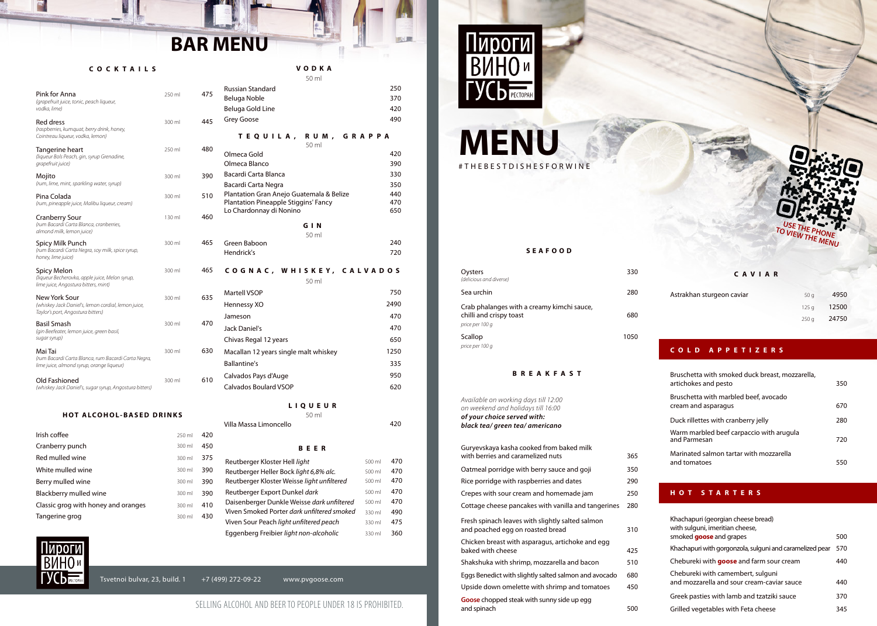

# **MENU** #THEBESTDISHESFORWINE

*Available on working days till 12:00 on weekend and holidays till 16:00 of your choice served with: black tea/ green tea/ americano* Guryevskaya kasha cooked from baked milk with berries and caramelized nuts 365 Oatmeal porridge with berry sauce and goji 350 Rice porridge with raspberries and dates 290 Crepes with sour cream and homemade jam 250 Cottage cheese pancakes with vanilla and tangerines 280 Fresh spinach leaves with slightly salted salmon and poached egg on roasted bread 310 Chicken breast with asparagus, artichoke and egg baked with cheese and the 425 Shakshuka with shrimp, mozzarella and bacon 510 Upside down omelette with shrimp and tomatoes 450 Eggs Benedict with slightly salted salmon and avocado 680 **Goose** chopped steak with sunny side up egg and spinach 500

| Oysters<br>(delicious and diverse)                                                       | 330  |
|------------------------------------------------------------------------------------------|------|
| Sea urchin                                                                               | 280  |
| Crab phalanges with a creamy kimchi sauce,<br>chilli and crispy toast<br>price per 100 g | 680  |
| Scallop                                                                                  | 1050 |
| price per 100 g                                                                          |      |

### **BREAKFAST**

| Astrakhan sturgeon caviar | 50 a  | 4950  |
|---------------------------|-------|-------|
|                           | 125 a | 12500 |
|                           | 250 a | 24750 |

#### **CAVIAR**

### **SEAFOOD**

### **COLD APPETIZERS**

| Bruschetta with smoked duck breast, mozzarella,<br>artichokes and pesto | 350 |
|-------------------------------------------------------------------------|-----|
| Bruschetta with marbled beef, avocado<br>cream and asparagus            | 670 |
| Duck rillettes with cranberry jelly                                     | 280 |
| Warm marbled beef carpaccio with arugula<br>and Parmesan                | 720 |
| Marinated salmon tartar with mozzarella<br>and tomatoes                 |     |

### **HOT STARTERS**

| Khachapuri (georgian cheese bread)<br>with sulguni, imeritian cheese,           |     |
|---------------------------------------------------------------------------------|-----|
| smoked <b>goose</b> and grapes                                                  | 500 |
| Khachapuri with gorgonzola, sulguni and caramelized pear                        | 570 |
| Chebureki with <b>goose</b> and farm sour cream                                 | 440 |
| Chebureki with camembert, sulguni<br>and mozzarella and sour cream-caviar sauce | 440 |
| Greek pasties with lamb and tzatziki sauce                                      | 370 |
| Grilled vegetables with Feta cheese                                             | 345 |

Olmeca Blanco 390 Bacardi Carta Blanca 330

Plantation Gran Anejo Guatemala & Belize **440**<br>Plantation Pineapple Stiggins' Fancy **470** 

Bacardi Carta Negra 350

Lo Chardonnay di Nonino **650** 

Green Baboon 240 Hendrick's 720

### SELLING ALCOHOL AND BEER TO PEOPLE UNDER 18 IS PROHIBITED.



Viven Smoked Porter *dark unltered smoked* Viven Sour Peach *light unfiltered peach* 

Plantation Pineapple Stiggins' Fancy

**VODKA**

Russian Standard

50 ml

Beluga Noble 370 Beluga Gold Line 420 Grey Goose **490** 

250

**TEQUILA, RUM, GRAPPA**

Olmeca Gold

50 ml

420

**LIQUEUR**

Calvados Boulard VSOP 620 Calvados Pays d'Auge **1998** en 1980 en 1980 en 1980 en 1980 en 1980 en 1980 en 1980 en 1980 en 1980 en 1980 en 19

Ballantine's 335

Villa Massa Limoncello 420 50 ml

**GIN**

50 ml

**CO G N AC , W H I S K E Y, C A LVA D O S** 50 ml Martell VSOP 750 Hennessy XO 2490 Jameson 470 Jack Daniel's 470

Macallan 12 years single malt whiskey

Chivas Regal 12 years

1250 650

500 ml 500 ml 500 ml 500 ml 330 ml 470

490

330 ml 475

**BEER**

Reutberger Heller Bock *light 6,8% alc.* 500 ml 470 Reutberger Kloster Weisse *light unfiltered* 500 ml 470 Reutberger Export Dunkel *dark* 500 ml 470 Daisenberger Dunkle Weisse dark unfiltered 500 ml 470

Eggenberg Freibier *light non-alcoholic* 330 ml 360

Reutberger Kloster Hell *light* 500 ml

### **COCKTAILS**

| Pink for Anna<br>(grapefruit juice, tonic, peach liqueur,<br>vodka, lime)                                   | 250 ml | 475 |
|-------------------------------------------------------------------------------------------------------------|--------|-----|
| <b>Red dress</b><br>(raspberries, kumquat, berry drink, honey,<br>Cointreau liqueur, vodka, lemon)          | 300 ml | 445 |
| Tangerine heart<br>(liqueur Bols Peach, gin, syrup Grenadine,<br>grapefruit juice)                          | 250 ml | 480 |
| Mojito<br>(rum, lime, mint, sparkling water, syrup)                                                         | 300 ml | 390 |
| Pina Colada<br>(rum, pineapple juice, Malibu liqueur, cream)                                                | 300 ml | 510 |
| <b>Cranberry Sour</b><br>(rum Bacardi Carta Blanca, cranberries,<br>almond milk, lemon juice)               | 130 ml | 460 |
| Spicy Milk Punch<br>(rum Bacardi Carta Negra, soy milk, spice syrup,<br>honey, lime juice)                  | 300 ml | 465 |
| Spicy Melon<br>(liqueur Becherovka, apple juice, Melon syrup,<br>lime juice, Angostura bitters, mint)       | 300 ml | 465 |
| New York Sour<br>(whiskey Jack Daniel's, lemon cordial, lemon juice,<br>Taylor's port, Angostura bitters)   | 300 ml | 635 |
| <b>Basil Smash</b><br>(gin Beefeater, lemon juice, green basil,<br>sugar syrup)                             | 300 ml | 470 |
| Mai Tai<br>(rum Bacardi Carta Blanca, rum Bacardi Carta Negra,<br>lime juice, almond syrup, orange liqueur) | 300 ml | 630 |
| Old Fashioned<br>(whiskey Jack Daniel's, sugar syrup, Angostura bitters)                                    | 300 ml | 610 |

#### **HOT ALCOHOL-BASED DRINKS**

| Irish coffee                        | $250 \text{ ml}$ | 420 |
|-------------------------------------|------------------|-----|
| Cranberry punch                     | 300 ml           | 450 |
| Red mulled wine                     | $300 \mathrm{m}$ | 375 |
| White mulled wine                   | 300 ml           | 390 |
| Berry mulled wine                   | 300 ml           | 390 |
| Blackberry mulled wine              | 300 ml           | 390 |
| Classic grog with honey and oranges | 300 ml           | 410 |
| Tangerine grog                      | $300 \mathrm{m}$ | 430 |
|                                     |                  |     |



### Tsvetnoi bulvar, 23, build.  $1 + 7$  (499) 272-09-22 www.pvgoose.com

## **BAR MENU**